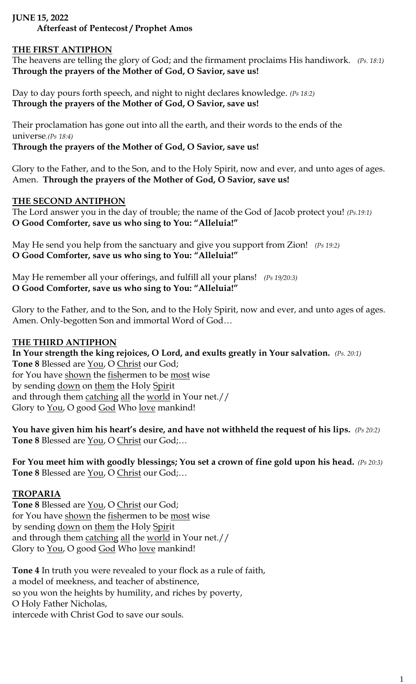## **JUNE 15, 2022**

# **Afterfeast of Pentecost / Prophet Amos**

### **THE FIRST ANTIPHON**

The heavens are telling the glory of God; and the firmament proclaims His handiwork. *(Ps. 18:1)* **Through the prayers of the Mother of God, O Savior, save us!**

Day to day pours forth speech, and night to night declares knowledge. *(Ps 18:2)* **Through the prayers of the Mother of God, O Savior, save us!**

Their proclamation has gone out into all the earth, and their words to the ends of the universe*.(Ps 18:4)*

**Through the prayers of the Mother of God, O Savior, save us!**

Glory to the Father, and to the Son, and to the Holy Spirit, now and ever, and unto ages of ages. Amen. **Through the prayers of the Mother of God, O Savior, save us!**

#### **THE SECOND ANTIPHON**

The Lord answer you in the day of trouble; the name of the God of Jacob protect you! *(Ps.19:1)* **O Good Comforter, save us who sing to You: "Alleluia!"**

May He send you help from the sanctuary and give you support from Zion! *(Ps 19:2)* **O Good Comforter, save us who sing to You: "Alleluia!"**

May He remember all your offerings, and fulfill all your plans! *(Ps 19/20:3)* **O Good Comforter, save us who sing to You: "Alleluia!"**

Glory to the Father, and to the Son, and to the Holy Spirit, now and ever, and unto ages of ages. Amen. Only-begotten Son and immortal Word of God…

### **THE THIRD ANTIPHON**

#### **In Your strength the king rejoices, O Lord, and exults greatly in Your salvation.** *(Ps. 20:1)*

**Tone 8** Blessed are You, O Christ our God; for You have shown the fishermen to be most wise by sending down on them the Holy Spirit and through them catching all the world in Your net.// Glory to <u>You</u>, O good God Who love mankind!

**You have given him his heart's desire, and have not withheld the request of his lips.** *(Ps 20:2)* **Tone 8** Blessed are You, O Christ our God;…

**For You meet him with goodly blessings; You set a crown of fine gold upon his head.** *(Ps 20:3)* **Tone 8** Blessed are You, O Christ our God;…

### **TROPARIA**

**Tone 8** Blessed are You, O Christ our God; for You have shown the fishermen to be most wise by sending down on them the Holy Spirit and through them catching all the world in Your net.// Glory to <u>You</u>, O good God Who love mankind!

**Tone 4** In truth you were revealed to your flock as a rule of faith, a model of meekness, and teacher of abstinence, so you won the heights by humility, and riches by poverty, O Holy Father Nicholas, intercede with Christ God to save our souls.